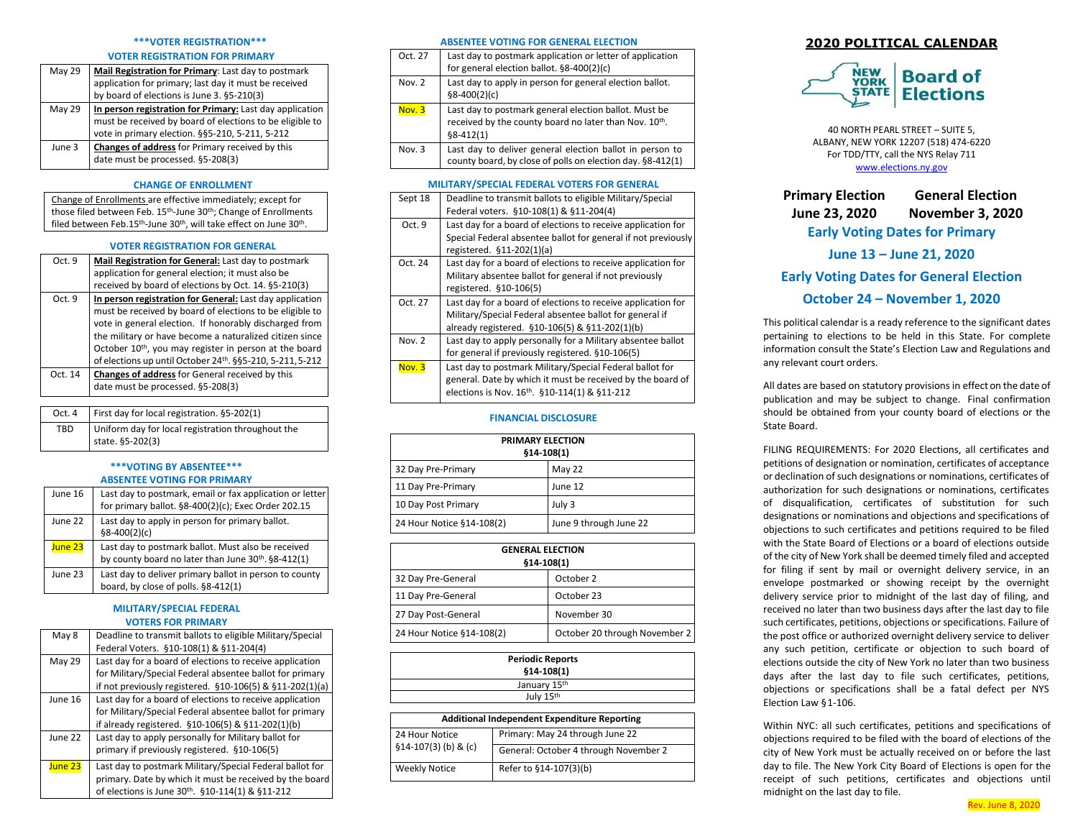### **\*\*\*VOTER REGISTRATION\*\*\***

### **VOTER REGISTRATION FOR PRIMARY**

| May 29 | Mail Registration for Primary: Last day to postmark      |
|--------|----------------------------------------------------------|
|        | application for primary; last day it must be received    |
|        | by board of elections is June 3. §5-210(3)               |
| May 29 | In person registration for Primary: Last day application |
|        | must be received by board of elections to be eligible to |
|        | vote in primary election. §§5-210, 5-211, 5-212          |
| June 3 | Changes of address for Primary received by this          |
|        | date must be processed. §5-208(3)                        |
|        |                                                          |

# **CHANGE OF ENROLLMENT**

Change of Enrollments are effective immediately; except for those filed between Feb. 15<sup>th</sup>-June 30<sup>th</sup>; Change of Enrollments filed between Feb.15<sup>th</sup>-June 30<sup>th</sup>, will take effect on June 30<sup>th</sup>.

## **VOTER REGISTRATION FOR GENERAL**

| Oct. 9  | Mail Registration for General: Last day to postmark                |
|---------|--------------------------------------------------------------------|
|         | application for general election; it must also be                  |
|         | received by board of elections by Oct. 14. §5-210(3)               |
| Oct. 9  | In person registration for General: Last day application           |
|         | must be received by board of elections to be eligible to           |
|         | vote in general election. If honorably discharged from             |
|         | the military or have become a naturalized citizen since            |
|         | October 10 <sup>th</sup> , you may register in person at the board |
|         | of elections up until October 24th. §§5-210, 5-211, 5-212          |
| Oct. 14 | Changes of address for General received by this                    |
|         | date must be processed. §5-208(3)                                  |

| Oct. 4 | First day for local registration. §5-202(1)                           |
|--------|-----------------------------------------------------------------------|
| TBD    | Uniform day for local registration throughout the<br>state. §5-202(3) |

# **\*\*\*VOTING BY ABSENTEE\*\*\* ABSENTEE VOTING FOR PRIMARY**

| June 16 | Last day to postmark, email or fax application or letter<br>for primary ballot. §8-400(2)(c); Exec Order 202.15 |
|---------|-----------------------------------------------------------------------------------------------------------------|
| June 22 | Last day to apply in person for primary ballot.<br>$§8-400(2)(c)$                                               |
| June 23 | Last day to postmark ballot. Must also be received<br>by county board no later than June 30th. §8-412(1)        |
| June 23 | Last day to deliver primary ballot in person to county<br>board, by close of polls. §8-412(1)                   |

# **MILITARY/SPECIAL FEDERAL VOTERS FOR PRIMARY**

| May 8   | Deadline to transmit ballots to eligible Military/Special    |
|---------|--------------------------------------------------------------|
|         | Federal Voters. §10-108(1) & §11-204(4)                      |
| May 29  | Last day for a board of elections to receive application     |
|         | for Military/Special Federal absentee ballot for primary     |
|         | if not previously registered. §10-106(5) & §11-202(1)(a)     |
| June 16 | Last day for a board of elections to receive application     |
|         | for Military/Special Federal absentee ballot for primary     |
|         | if already registered. §10-106(5) & §11-202(1)(b)            |
| June 22 | Last day to apply personally for Military ballot for         |
|         | primary if previously registered. §10-106(5)                 |
| June 23 | Last day to postmark Military/Special Federal ballot for     |
|         | primary. Date by which it must be received by the board      |
|         | of elections is June 30 <sup>th</sup> . §10-114(1) & §11-212 |

## **ABSENTEE VOTING FOR GENERAL ELECTION**

| Oct. 27  | Last day to postmark application or letter of application<br>for general election ballot. §8-400(2)(c)                        |
|----------|-------------------------------------------------------------------------------------------------------------------------------|
| Nov. $2$ | Last day to apply in person for general election ballot.<br>$$8-400(2)(c)$                                                    |
| Nov. 3   | Last day to postmark general election ballot. Must be<br>received by the county board no later than Nov. 10th.<br>$§8-412(1)$ |
| Nov. 3   | Last day to deliver general election ballot in person to<br>county board, by close of polls on election day. §8-412(1)        |

# **MILITARY/SPECIAL FEDERAL VOTERS FOR GENERAL**

| Sept 18  | Deadline to transmit ballots to eligible Military/Special<br>Federal voters. §10-108(1) & §11-204(4)                                                                      |
|----------|---------------------------------------------------------------------------------------------------------------------------------------------------------------------------|
| Oct. 9   | Last day for a board of elections to receive application for<br>Special Federal absentee ballot for general if not previously<br>registered. §11-202(1)(a)                |
| Oct. 24  | Last day for a board of elections to receive application for<br>Military absentee ballot for general if not previously<br>registered. §10-106(5)                          |
| Oct. 27  | Last day for a board of elections to receive application for<br>Military/Special Federal absentee ballot for general if<br>already registered. §10-106(5) & §11-202(1)(b) |
| Nov. $2$ | Last day to apply personally for a Military absentee ballot<br>for general if previously registered. §10-106(5)                                                           |
| Nov. 3   | Last day to postmark Military/Special Federal ballot for<br>general. Date by which it must be received by the board of<br>elections is Nov. 16th. §10-114(1) & §11-212    |

# **FINANCIAL DISCLOSURE**

| <b>PRIMARY ELECTION</b><br>$$14-108(1)$ |                        |
|-----------------------------------------|------------------------|
| 32 Day Pre-Primary                      | May 22                 |
| 11 Day Pre-Primary                      | June 12                |
| 10 Day Post Primary                     | July 3                 |
| 24 Hour Notice §14-108(2)               | June 9 through June 22 |

| <b>GENERAL ELECTION</b><br>$$14-108(1)$ |                               |
|-----------------------------------------|-------------------------------|
| 32 Day Pre-General                      | October 2                     |
| 11 Day Pre-General                      | October 23                    |
| 27 Day Post-General                     | November 30                   |
| 24 Hour Notice §14-108(2)               | October 20 through November 2 |

| <b>Periodic Reports</b>                             |                                       |  |
|-----------------------------------------------------|---------------------------------------|--|
|                                                     | $$14-108(1)$                          |  |
| January 15th                                        |                                       |  |
|                                                     | July 15th                             |  |
|                                                     |                                       |  |
| <b>Additional Independent Expenditure Reporting</b> |                                       |  |
| 24 Hour Notice                                      | Primary: May 24 through June 22       |  |
| $$14-107(3)$ (b) & (c)                              | General: October 4 through November 2 |  |
| <b>Weekly Notice</b>                                | Refer to §14-107(3)(b)                |  |

# **2020 POLITICAL CALENDAR**



40 NORTH PEARL STREET – SUITE 5, ALBANY, NEW YORK 12207 (518) 474-6220 For TDD/TTY, call the NYS Relay 711 [www.elections.ny.gov](http://www.elections.ny.gov/)

**Primary Election June 23, 2020 General Election November 3, 2020 Early Voting Dates for Primary**

**June 13 – June 21, 2020**

**Early Voting Dates for General Election October 24 – November 1, 2020**

This political calendar is a ready reference to the significant dates pertaining to elections to be held in this State. For complete information consult the State's Election Law and Regulations and any relevant court orders.

All dates are based on statutory provisions in effect on the date of publication and may be subject to change. Final confirmation should be obtained from your county board of elections or the State Board.

FILING REQUIREMENTS: For 2020 Elections, all certificates and petitions of designation or nomination, certificates of acceptance or declination of such designations or nominations, certificates of authorization for such designations or nominations, certificates of disqualification, certificates of substitution for such designations or nominations and objections and specifications of objections to such certificates and petitions required to be filed with the State Board of Elections or a board of elections outside of the city of New York shall be deemed timely filed and accepted for filing if sent by mail or overnight delivery service, in an envelope postmarked or showing receipt by the overnight delivery service prior to midnight of the last day of filing, and received no later than two business days after the last day to file such certificates, petitions, objections or specifications. Failure of the post office or authorized overnight delivery service to deliver any such petition, certificate or objection to such board of elections outside the city of New York no later than two business days after the last day to file such certificates, petitions, objections or specifications shall be a fatal defect per NYS Election Law §1-106.

Within NYC: all such certificates, petitions and specifications of objections required to be filed with the board of elections of the city of New York must be actually received on or before the last day to file. The New York City Board of Elections is open for the receipt of such petitions, certificates and objections until midnight on the last day to file.